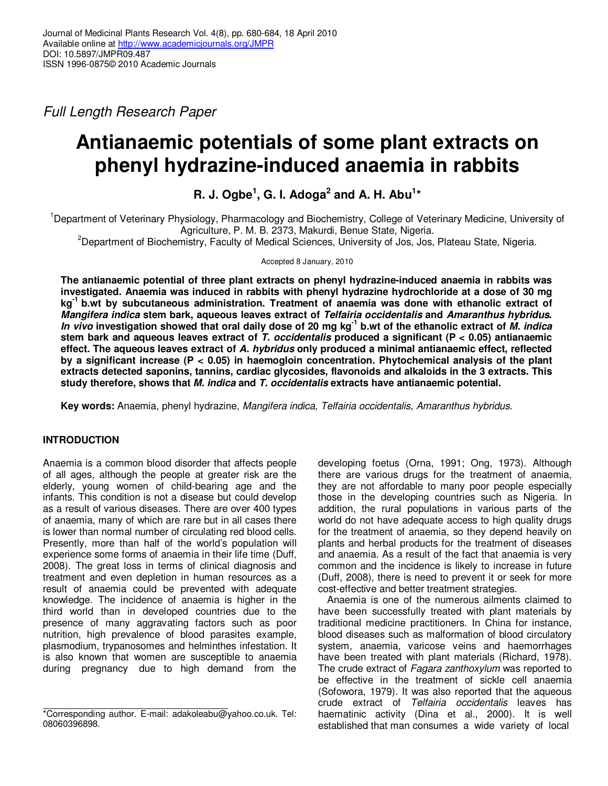Full Length Research Paper

# **Antianaemic potentials of some plant extracts on phenyl hydrazine-induced anaemia in rabbits**

**R. J. Ogbe<sup>1</sup> , G. I. Adoga<sup>2</sup> and A. H. Abu<sup>1</sup> \*** 

<sup>1</sup>Department of Veterinary Physiology, Pharmacology and Biochemistry, College of Veterinary Medicine, University of Agriculture, P. M. B. 2373, Makurdi, Benue State, Nigeria.

<sup>2</sup>Department of Biochemistry, Faculty of Medical Sciences, University of Jos, Jos, Plateau State, Nigeria.

Accepted 8 January, 2010

**The antianaemic potential of three plant extracts on phenyl hydrazine-induced anaemia in rabbits was investigated. Anaemia was induced in rabbits with phenyl hydrazine hydrochloride at a dose of 30 mg kg-1 b.wt by subcutaneous administration. Treatment of anaemia was done with ethanolic extract of Mangifera indica stem bark, aqueous leaves extract of Telfairia occidentalis and Amaranthus hybridus. In vivo investigation showed that oral daily dose of 20 mg kg-1 b.wt of the ethanolic extract of M. indica stem bark and aqueous leaves extract of T. occidentalis produced a significant (P < 0.05) antianaemic effect. The aqueous leaves extract of A. hybridus only produced a minimal antianaemic effect, reflected by a significant increase (P < 0.05) in haemogloin concentration. Phytochemical analysis of the plant extracts detected saponins, tannins, cardiac glycosides, flavonoids and alkaloids in the 3 extracts. This study therefore, shows that M. indica and T. occidentalis extracts have antianaemic potential.** 

**Key words:** Anaemia, phenyl hydrazine, Mangifera indica, Telfairia occidentalis, Amaranthus hybridus.

# **INTRODUCTION**

Anaemia is a common blood disorder that affects people of all ages, although the people at greater risk are the elderly, young women of child-bearing age and the infants. This condition is not a disease but could develop as a result of various diseases. There are over 400 types of anaemia, many of which are rare but in all cases there is lower than normal number of circulating red blood cells. Presently, more than half of the world's population will experience some forms of anaemia in their life time (Duff, 2008). The great loss in terms of clinical diagnosis and treatment and even depletion in human resources as a result of anaemia could be prevented with adequate knowledge. The incidence of anaemia is higher in the third world than in developed countries due to the presence of many aggravating factors such as poor nutrition, high prevalence of blood parasites example, plasmodium, trypanosomes and helminthes infestation. It is also known that women are susceptible to anaemia during pregnancy due to high demand from the

developing foetus (Orna, 1991; Ong, 1973). Although there are various drugs for the treatment of anaemia, they are not affordable to many poor people especially those in the developing countries such as Nigeria. In addition, the rural populations in various parts of the world do not have adequate access to high quality drugs for the treatment of anaemia, so they depend heavily on plants and herbal products for the treatment of diseases and anaemia. As a result of the fact that anaemia is very common and the incidence is likely to increase in future (Duff, 2008), there is need to prevent it or seek for more cost-effective and better treatment strategies.

Anaemia is one of the numerous ailments claimed to have been successfully treated with plant materials by traditional medicine practitioners. In China for instance, blood diseases such as malformation of blood circulatory system, anaemia, varicose veins and haemorrhages have been treated with plant materials (Richard, 1978). The crude extract of Fagara zanthoxylum was reported to be effective in the treatment of sickle cell anaemia (Sofowora, 1979). It was also reported that the aqueous crude extract of Telfairia occidentalis leaves has haematinic activity (Dina et al., 2000). It is well established that man consumes a wide variety of local

<sup>\*</sup>Corresponding author. E-mail: adakoleabu@yahoo.co.uk. Tel: 08060396898.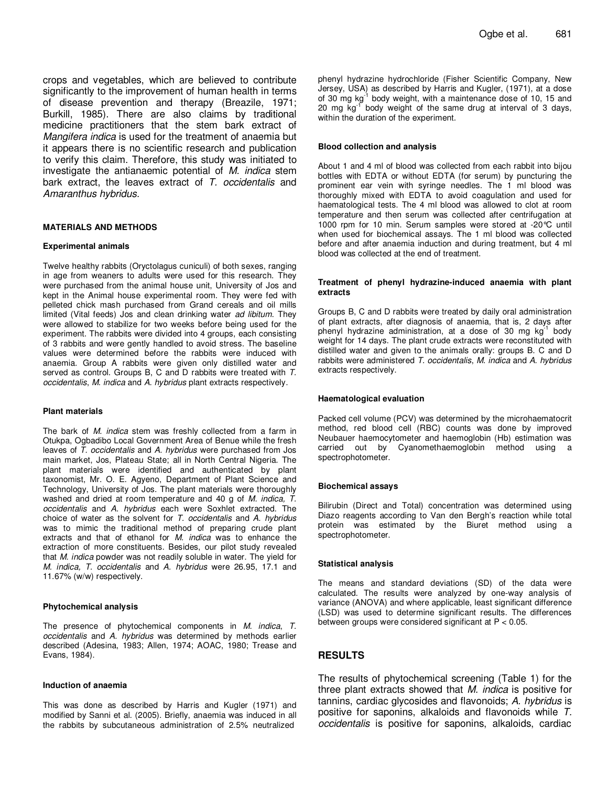crops and vegetables, which are believed to contribute significantly to the improvement of human health in terms of disease prevention and therapy (Breazile, 1971; Burkill, 1985). There are also claims by traditional medicine practitioners that the stem bark extract of Mangifera indica is used for the treatment of anaemia but it appears there is no scientific research and publication to verify this claim. Therefore, this study was initiated to investigate the antianaemic potential of M. indica stem bark extract, the leaves extract of T. occidentalis and Amaranthus hybridus.

#### **MATERIALS AND METHODS**

#### **Experimental animals**

Twelve healthy rabbits (Oryctolagus cuniculi) of both sexes, ranging in age from weaners to adults were used for this research. They were purchased from the animal house unit, University of Jos and kept in the Animal house experimental room. They were fed with pelleted chick mash purchased from Grand cereals and oil mills limited (Vital feeds) Jos and clean drinking water ad libitum. They were allowed to stabilize for two weeks before being used for the experiment. The rabbits were divided into 4 groups, each consisting of 3 rabbits and were gently handled to avoid stress. The baseline values were determined before the rabbits were induced with anaemia. Group A rabbits were given only distilled water and served as control. Groups B, C and D rabbits were treated with T. occidentalis, M. indica and A. hybridus plant extracts respectively.

#### **Plant materials**

The bark of M. indica stem was freshly collected from a farm in Otukpa, Ogbadibo Local Government Area of Benue while the fresh leaves of T. occidentalis and A. hybridus were purchased from Jos main market, Jos, Plateau State; all in North Central Nigeria. The plant materials were identified and authenticated by plant taxonomist, Mr. O. E. Agyeno, Department of Plant Science and Technology, University of Jos. The plant materials were thoroughly washed and dried at room temperature and 40 g of M. indica, T. occidentalis and A. hybridus each were Soxhlet extracted. The choice of water as the solvent for  $T$ . occidentalis and  $A$ . hybridus was to mimic the traditional method of preparing crude plant extracts and that of ethanol for M. indica was to enhance the extraction of more constituents. Besides, our pilot study revealed that M. indica powder was not readily soluble in water. The yield for M. indica, T. occidentalis and A. hybridus were 26.95, 17.1 and 11.67% (w/w) respectively.

#### **Phytochemical analysis**

The presence of phytochemical components in M. indica, T. occidentalis and A. hybridus was determined by methods earlier described (Adesina, 1983; Allen, 1974; AOAC, 1980; Trease and Evans, 1984).

#### **Induction of anaemia**

This was done as described by Harris and Kugler (1971) and modified by Sanni et al. (2005). Briefly, anaemia was induced in all the rabbits by subcutaneous administration of 2.5% neutralized

phenyl hydrazine hydrochloride (Fisher Scientific Company, New Jersey, USA) as described by Harris and Kugler, (1971), at a dose of 30 mg kg<sup>-1</sup> body weight, with a maintenance dose of 10, 15 and 20 mg  $kg^{-1}$  body weight of the same drug at interval of 3 days, within the duration of the experiment.

#### **Blood collection and analysis**

About 1 and 4 ml of blood was collected from each rabbit into bijou bottles with EDTA or without EDTA (for serum) by puncturing the prominent ear vein with syringe needles. The 1 ml blood was thoroughly mixed with EDTA to avoid coagulation and used for haematological tests. The 4 ml blood was allowed to clot at room temperature and then serum was collected after centrifugation at 1000 rpm for 10 min. Serum samples were stored at -20°C until when used for biochemical assays. The 1 ml blood was collected before and after anaemia induction and during treatment, but 4 ml blood was collected at the end of treatment.

#### **Treatment of phenyl hydrazine-induced anaemia with plant extracts**

Groups B, C and D rabbits were treated by daily oral administration of plant extracts, after diagnosis of anaemia, that is, 2 days after phenyl hydrazine administration, at a dose of 30 mg  $kg^{-1}$  body weight for 14 days. The plant crude extracts were reconstituted with distilled water and given to the animals orally: groups B. C and D rabbits were administered T. occidentalis, M. indica and A. hybridus extracts respectively.

#### **Haematological evaluation**

Packed cell volume (PCV) was determined by the microhaematocrit method, red blood cell (RBC) counts was done by improved Neubauer haemocytometer and haemoglobin (Hb) estimation was carried out by Cyanomethaemoglobin method using a spectrophotometer.

#### **Biochemical assays**

Bilirubin (Direct and Total) concentration was determined using Diazo reagents according to Van den Bergh's reaction while total protein was estimated by the Biuret method using a spectrophotometer.

#### **Statistical analysis**

The means and standard deviations (SD) of the data were calculated. The results were analyzed by one-way analysis of variance (ANOVA) and where applicable, least significant difference (LSD) was used to determine significant results. The differences between groups were considered significant at P < 0.05.

## **RESULTS**

The results of phytochemical screening (Table 1) for the three plant extracts showed that M. indica is positive for tannins, cardiac glycosides and flavonoids; A. hybridus is positive for saponins, alkaloids and flavonoids while T. occidentalis is positive for saponins, alkaloids, cardiac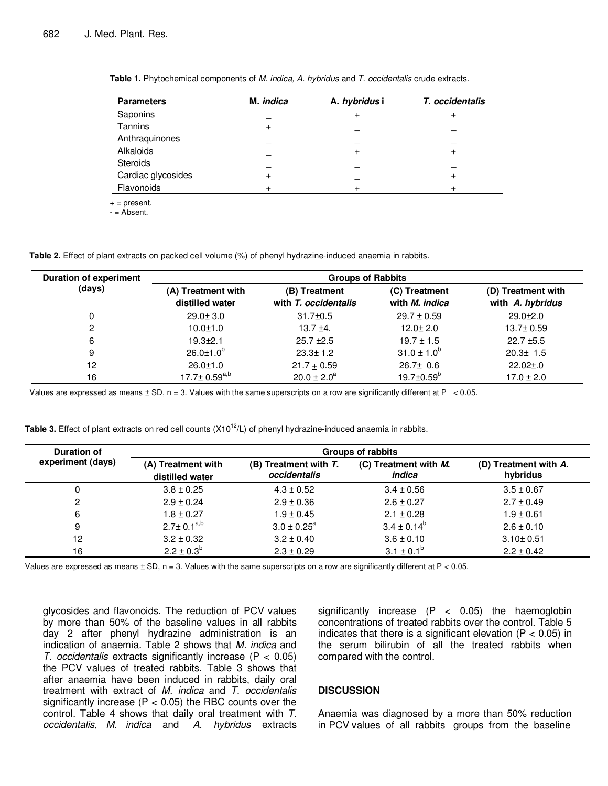| <b>Parameters</b>  | M. <i>indica</i> | A. hybridus i | T. occidentalis |  |
|--------------------|------------------|---------------|-----------------|--|
| Saponins           |                  | $\div$        |                 |  |
| Tannins            | +                |               |                 |  |
| Anthraquinones     |                  |               |                 |  |
| Alkaloids          |                  |               |                 |  |
| <b>Steroids</b>    |                  |               |                 |  |
| Cardiac glycosides | ٠                |               |                 |  |
| Flavonoids         |                  |               |                 |  |

**Table 1.** Phytochemical components of M. indica, A. hybridus and T. occidentalis crude extracts.

 $+$  = present.

 $-$  = Absent.

**Table 2.** Effect of plant extracts on packed cell volume (%) of phenyl hydrazine-induced anaemia in rabbits.

| <b>Duration of experiment</b> | <b>Groups of Rabbits</b> |                      |                         |                    |
|-------------------------------|--------------------------|----------------------|-------------------------|--------------------|
| (days)                        | (A) Treatment with       | (B) Treatment        | (C) Treatment           | (D) Treatment with |
|                               | distilled water          | with T. occidentalis | with <i>M. indica</i>   | with A. hybridus   |
| 0                             | $29.0 \pm 3.0$           | $31.7 \pm 0.5$       | $29.7 \pm 0.59$         | $29.0 + 2.0$       |
| 2                             | $10.0 \pm 1.0$           | $13.7 + 4.$          | $12.0 \pm 2.0$          | $13.7 \pm 0.59$    |
| 6                             | $19.3 + 2.1$             | $25.7 \pm 2.5$       | $19.7 \pm 1.5$          | $22.7 \pm 5.5$     |
| 9                             | $26.0 \pm 1.0^{b}$       | $23.3 \pm 1.2$       | $31.0 \pm 1.0^b$        | $20.3 \pm 1.5$     |
| 12                            | $26.0 \pm 1.0$           | $21.7 + 0.59$        | $26.7 \pm 0.6$          | $22.02 \pm .0$     |
| 16                            | $17.7 \pm 0.59^{a,b}$    | $20.0 \pm 2.0^a$     | $19.7 \pm 0.59^{\circ}$ | $17.0 \pm 2.0$     |

Values are expressed as means  $\pm$  SD, n = 3. Values with the same superscripts on a row are significantly different at P < 0.05.

| <b>Duration of</b><br>experiment (days) | Groups of rabbits                     |                                       |                                 |                                   |  |
|-----------------------------------------|---------------------------------------|---------------------------------------|---------------------------------|-----------------------------------|--|
|                                         | (A) Treatment with<br>distilled water | (B) Treatment with T.<br>occidentalis | (C) Treatment with M.<br>indica | (D) Treatment with A.<br>hybridus |  |
|                                         | $3.8 \pm 0.25$                        | $4.3 \pm 0.52$                        | $3.4 \pm 0.56$                  | $3.5 \pm 0.67$                    |  |
| 2                                       | $2.9 \pm 0.24$                        | $2.9 \pm 0.36$                        | $2.6 \pm 0.27$                  | $2.7 \pm 0.49$                    |  |
| 6                                       | $1.8 \pm 0.27$                        | $1.9 \pm 0.45$                        | $2.1 \pm 0.28$                  | $1.9 \pm 0.61$                    |  |
| 9                                       | $2.7 \pm 0.1^{a,b}$                   | $3.0 \pm 0.25^{\circ}$                | $3.4 \pm 0.14^{\circ}$          | $2.6 \pm 0.10$                    |  |
| 12                                      | $3.2 \pm 0.32$                        | $3.2 \pm 0.40$                        | $3.6 \pm 0.10$                  | $3.10 \pm 0.51$                   |  |
| 16                                      | $2.2 \pm 0.3^b$                       | $2.3 \pm 0.29$                        | $3.1 \pm 0.1^{\circ}$           | $2.2 \pm 0.42$                    |  |

**Table 3.** Effect of plant extracts on red cell counts (X10<sup>12</sup>/L) of phenyl hydrazine-induced anaemia in rabbits.

Values are expressed as means  $\pm$  SD, n = 3. Values with the same superscripts on a row are significantly different at P < 0.05.

glycosides and flavonoids. The reduction of PCV values by more than 50% of the baseline values in all rabbits day 2 after phenyl hydrazine administration is an indication of anaemia. Table 2 shows that M. indica and T. occidentalis extracts significantly increase  $(P < 0.05)$ the PCV values of treated rabbits. Table 3 shows that after anaemia have been induced in rabbits, daily oral treatment with extract of M. indica and T. occidentalis significantly increase ( $P < 0.05$ ) the RBC counts over the control. Table 4 shows that daily oral treatment with T. occidentalis, M. indica and A. hybridus extracts

significantly increase  $(P < 0.05)$  the haemoglobin concentrations of treated rabbits over the control. Table 5 indicates that there is a significant elevation ( $P < 0.05$ ) in the serum bilirubin of all the treated rabbits when compared with the control.

# **DISCUSSION**

Anaemia was diagnosed by a more than 50% reduction in PCV values of all rabbits groups from the baseline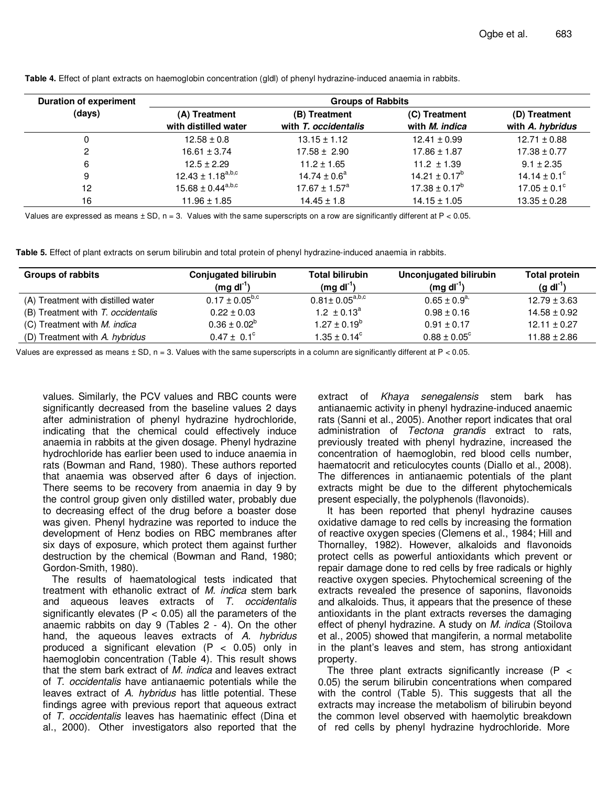| <b>Duration of experiment</b> | <b>Groups of Rabbits</b>              |                                       |                                        |                                   |  |
|-------------------------------|---------------------------------------|---------------------------------------|----------------------------------------|-----------------------------------|--|
| (days)                        | (A) Treatment<br>with distilled water | (B) Treatment<br>with T. occidentalis | (C) Treatment<br>with <i>M. indica</i> | (D) Treatment<br>with A. hybridus |  |
| 0                             | $12.58 \pm 0.8$                       | $13.15 \pm 1.12$                      | $12.41 \pm 0.99$                       | $12.71 \pm 0.88$                  |  |
| 2                             | $16.61 \pm 3.74$                      | $17.58 \pm 2.90$                      | $17.86 \pm 1.87$                       | $17.38 \pm 0.77$                  |  |
| 6                             | $12.5 \pm 2.29$                       | $11.2 \pm 1.65$                       | $11.2 \pm 1.39$                        | $9.1 \pm 2.35$                    |  |
| 9                             | $12.43 \pm 1.18^{a,b,c}$              | $14.74 \pm 0.6^a$                     | $14.21 \pm 0.17^b$                     | 14.14 $\pm$ 0.1 <sup>c</sup>      |  |
| 12                            | $15.68 \pm 0.44^{a,b,c}$              | $17.67 \pm 1.57^a$                    | $17.38 \pm 0.17^b$                     | $17.05 \pm 0.1^{\circ}$           |  |
| 16                            | $11.96 \pm 1.85$                      | $14.45 \pm 1.8$                       | $14.15 \pm 1.05$                       | $13.35 \pm 0.28$                  |  |

**Table 4.** Effect of plant extracts on haemoglobin concentration (gldl) of phenyl hydrazine-induced anaemia in rabbits.

Values are expressed as means  $\pm$  SD, n = 3. Values with the same superscripts on a row are significantly different at P < 0.05.

**Table 5.** Effect of plant extracts on serum bilirubin and total protein of phenyl hydrazine-induced anaemia in rabbits.

| Groups of rabbits                  | <b>Conjugated bilirubin</b><br>$(mq dl^{-1})$ | Total bilirubin<br>(mq dI')                  | <b>Unconjugated bilirubin</b><br>$(mg dl-1)$ | Total protein<br>$(g \, d\Gamma)$ |
|------------------------------------|-----------------------------------------------|----------------------------------------------|----------------------------------------------|-----------------------------------|
| (A) Treatment with distilled water | $0.17 \pm 0.05^{b,c}$                         | $0.81 \pm 0.05^{\text{a},\text{b},\text{c}}$ | $0.65 \pm 0.9^{a}$                           | $12.79 \pm 3.63$                  |
| (B) Treatment with T. occidentalis | $0.22 \pm 0.03$                               | $1.2 \pm 0.13^a$                             | $0.98 \pm 0.16$                              | $14.58 \pm 0.92$                  |
| (C) Treatment with M. indica       | $0.36 \pm 0.02^{\circ}$                       | $1.27 \pm 0.19^b$                            | $0.91 \pm 0.17$                              | $12.11 \pm 0.27$                  |
| (D) Treatment with A. hybridus     | $0.47 \pm 0.1^{\circ}$                        | $1.35 \pm 0.14^c$                            | $0.88 \pm 0.05^{\circ}$                      | $11.88 \pm 2.86$                  |

Values are expressed as means  $\pm$  SD, n = 3. Values with the same superscripts in a column are significantly different at P < 0.05.

values. Similarly, the PCV values and RBC counts were significantly decreased from the baseline values 2 days after administration of phenyl hydrazine hydrochloride, indicating that the chemical could effectively induce anaemia in rabbits at the given dosage. Phenyl hydrazine hydrochloride has earlier been used to induce anaemia in rats (Bowman and Rand, 1980). These authors reported that anaemia was observed after 6 days of injection. There seems to be recovery from anaemia in day 9 by the control group given only distilled water, probably due to decreasing effect of the drug before a boaster dose was given. Phenyl hydrazine was reported to induce the development of Henz bodies on RBC membranes after six days of exposure, which protect them against further destruction by the chemical (Bowman and Rand, 1980; Gordon-Smith, 1980).

The results of haematological tests indicated that treatment with ethanolic extract of M. indica stem bark and aqueous leaves extracts of T. occidentalis significantly elevates ( $P < 0.05$ ) all the parameters of the anaemic rabbits on day 9 (Tables 2 - 4). On the other hand, the aqueous leaves extracts of A. hybridus produced a significant elevation  $(P < 0.05)$  only in haemoglobin concentration (Table 4). This result shows that the stem bark extract of M. indica and leaves extract of T. occidentalis have antianaemic potentials while the leaves extract of A. hybridus has little potential. These findings agree with previous report that aqueous extract of T. occidentalis leaves has haematinic effect (Dina et al., 2000). Other investigators also reported that the

extract of Khaya senegalensis stem bark has antianaemic activity in phenyl hydrazine-induced anaemic rats (Sanni et al., 2005). Another report indicates that oral administration of Tectona grandis extract to rats, previously treated with phenyl hydrazine, increased the concentration of haemoglobin, red blood cells number, haematocrit and reticulocytes counts (Diallo et al., 2008). The differences in antianaemic potentials of the plant extracts might be due to the different phytochemicals present especially, the polyphenols (flavonoids).

It has been reported that phenyl hydrazine causes oxidative damage to red cells by increasing the formation of reactive oxygen species (Clemens et al., 1984; Hill and Thornalley, 1982). However, alkaloids and flavonoids protect cells as powerful antioxidants which prevent or repair damage done to red cells by free radicals or highly reactive oxygen species. Phytochemical screening of the extracts revealed the presence of saponins, flavonoids and alkaloids. Thus, it appears that the presence of these antioxidants in the plant extracts reverses the damaging effect of phenyl hydrazine. A study on M. indica (Stoilova et al., 2005) showed that mangiferin, a normal metabolite in the plant's leaves and stem, has strong antioxidant property.

The three plant extracts significantly increase ( $P \le$ 0.05) the serum bilirubin concentrations when compared with the control (Table 5). This suggests that all the extracts may increase the metabolism of bilirubin beyond the common level observed with haemolytic breakdown of red cells by phenyl hydrazine hydrochloride. More